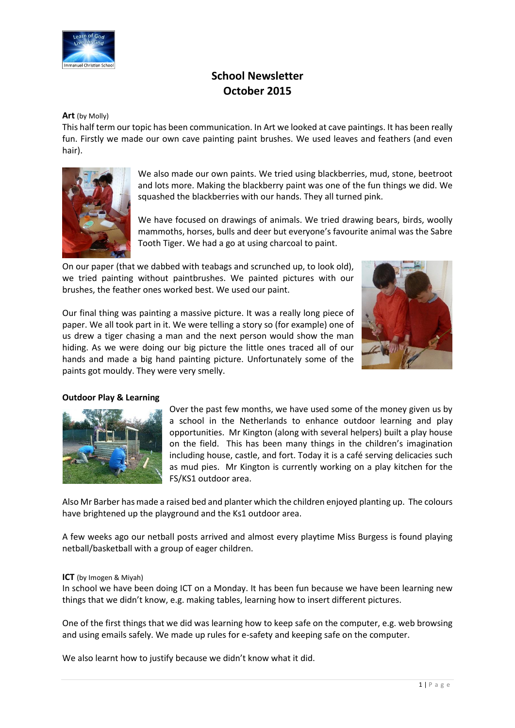

# **School Newsletter October 2015**

#### **Art** (by Molly)

This half term our topic has been communication. In Art we looked at cave paintings. It has been really fun. Firstly we made our own cave painting paint brushes. We used leaves and feathers (and even hair).



We also made our own paints. We tried using blackberries, mud, stone, beetroot and lots more. Making the blackberry paint was one of the fun things we did. We squashed the blackberries with our hands. They all turned pink.

We have focused on drawings of animals. We tried drawing bears, birds, woolly mammoths, horses, bulls and deer but everyone's favourite animal was the Sabre Tooth Tiger. We had a go at using charcoal to paint.

On our paper (that we dabbed with teabags and scrunched up, to look old), we tried painting without paintbrushes. We painted pictures with our brushes, the feather ones worked best. We used our paint.



Our final thing was painting a massive picture. It was a really long piece of paper. We all took part in it. We were telling a story so (for example) one of us drew a tiger chasing a man and the next person would show the man hiding. As we were doing our big picture the little ones traced all of our hands and made a big hand painting picture. Unfortunately some of the paints got mouldy. They were very smelly.

### **Outdoor Play & Learning**



Over the past few months, we have used some of the money given us by a school in the Netherlands to enhance outdoor learning and play opportunities. Mr Kington (along with several helpers) built a play house on the field. This has been many things in the children's imagination including house, castle, and fort. Today it is a café serving delicacies such as mud pies. Mr Kington is currently working on a play kitchen for the FS/KS1 outdoor area.

Also Mr Barber has made a raised bed and planter which the children enjoyed planting up. The colours have brightened up the playground and the Ks1 outdoor area.

A few weeks ago our netball posts arrived and almost every playtime Miss Burgess is found playing netball/basketball with a group of eager children.

### **ICT** (by Imogen & Miyah)

In school we have been doing ICT on a Monday. It has been fun because we have been learning new things that we didn't know, e.g. making tables, learning how to insert different pictures.

One of the first things that we did was learning how to keep safe on the computer, e.g. web browsing and using emails safely. We made up rules for e-safety and keeping safe on the computer.

We also learnt how to justify because we didn't know what it did.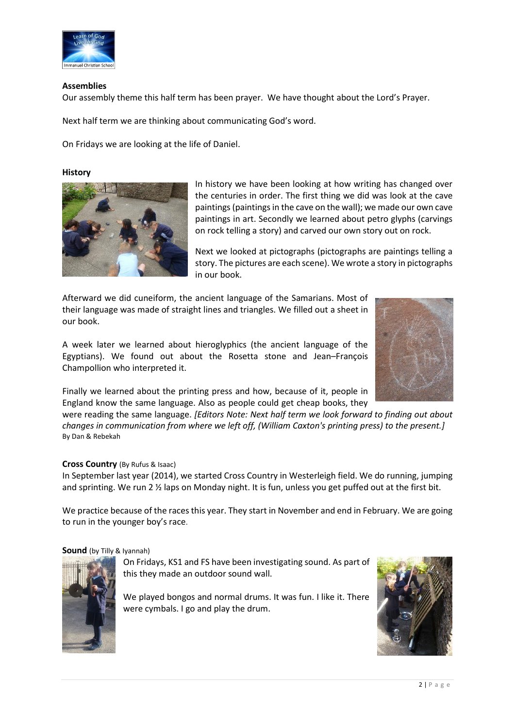

## **Assemblies**

Our assembly theme this half term has been prayer. We have thought about the Lord's Prayer.

Next half term we are thinking about communicating God's word.

On Fridays we are looking at the life of Daniel.

### **History**



In history we have been looking at how writing has changed over the centuries in order. The first thing we did was look at the cave paintings (paintings in the cave on the wall); we made our own cave paintings in art. Secondly we learned about petro glyphs (carvings on rock telling a story) and carved our own story out on rock.

Next we looked at pictographs (pictographs are paintings telling a story. The pictures are each scene). We wrote a story in pictographs in our book.

Afterward we did cuneiform, the ancient language of the Samarians. Most of their language was made of straight lines and triangles. We filled out a sheet in our book.

A week later we learned about hieroglyphics (the ancient language of the Egyptians). We found out about the Rosetta stone and Jean–François Champollion who interpreted it.



Finally we learned about the printing press and how, because of it, people in England know the same language. Also as people could get cheap books, they

were reading the same language. *[Editors Note: Next half term we look forward to finding out about changes in communication from where we left off, (William Caxton's printing press) to the present.]* By Dan & Rebekah

### **Cross Country** (By Rufus & Isaac)

In September last year (2014), we started Cross Country in Westerleigh field. We do running, jumping and sprinting. We run 2  $\frac{1}{2}$  laps on Monday night. It is fun, unless you get puffed out at the first bit.

We practice because of the races this year. They start in November and end in February. We are going to run in the younger boy's race.

### **Sound** (by Tilly & Iyannah)



On Fridays, KS1 and FS have been investigating sound. As part of this they made an outdoor sound wall.

We played bongos and normal drums. It was fun. I like it. There were cymbals. I go and play the drum.